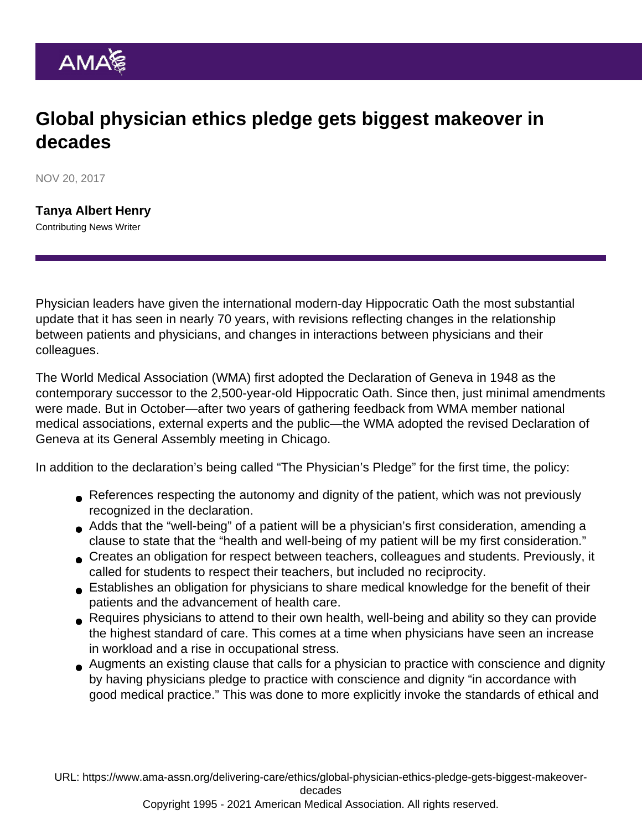## Global physician ethics pledge gets biggest makeover in decades

NOV 20, 2017

[Tanya Albert Henry](https://www.ama-assn.org/news-leadership-viewpoints/authors-news-leadership-viewpoints/tanya-albert-henry) Contributing News Writer

Physician leaders have given the international modern-day Hippocratic Oath the most substantial update that it has seen in nearly 70 years, with revisions reflecting changes in the relationship between patients and physicians, and changes in interactions between physicians and their colleagues.

The World Medical Association (WMA) first adopted the Declaration of Geneva in 1948 as the contemporary successor to the 2,500-year-old [Hippocratic Oath](https://www.nlm.nih.gov/hmd/greek/greek_oath.html). Since then, just minimal amendments were made. But in October—after two years of gathering feedback from WMA member national medical associations, external experts and the public—the WMA adopted the [revised Declaration of](https://www.wma.net/policies-post/wma-declaration-of-geneva/) [Geneva](https://www.wma.net/policies-post/wma-declaration-of-geneva/) at its General Assembly meeting in Chicago.

In addition to the declaration's being called "The Physician's Pledge" for the first time, the policy:

- References respecting the autonomy and dignity of the patient, which was not previously recognized in the declaration.
- Adds that the "well-being" of a patient will be a physician's first consideration, amending a clause to state that the "health and well-being of my patient will be my first consideration."
- Creates an obligation for respect between teachers, colleagues and students. Previously, it called for students to respect their teachers, but included no reciprocity.
- Establishes an obligation for physicians to share medical knowledge for the benefit of their patients and the advancement of health care.
- Requires physicians to attend to their own health, well-being and ability so they can provide the highest standard of care. This comes at a time when physicians have seen an increase in workload and a rise in occupational stress.
- Augments an existing clause that calls for a physician to practice with conscience and dignity by having physicians pledge to practice with conscience and dignity "in accordance with good medical practice." This was done to more explicitly invoke the standards of ethical and

URL: [https://www.ama-assn.org/delivering-care/ethics/global-physician-ethics-pledge-gets-biggest-makeover-](https://www.ama-assn.org/delivering-care/ethics/global-physician-ethics-pledge-gets-biggest-makeover-decades)

[decades](https://www.ama-assn.org/delivering-care/ethics/global-physician-ethics-pledge-gets-biggest-makeover-decades)